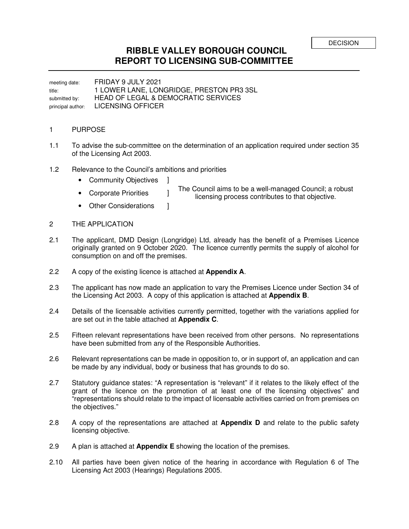## **RIBBLE VALLEY BOROUGH COUNCIL REPORT TO LICENSING SUB-COMMITTEE**

meeting date: FRIDAY 9 JULY 2021 title: 1 LOWER LANE, LONGRIDGE, PRESTON PR3 3SL submitted by: HEAD OF LEGAL & DEMOCRATIC SERVICES principal author: LICENSING OFFICER

## 1 PURPOSE

- 1.1 To advise the sub-committee on the determination of an application required under section 35 of the Licensing Act 2003.
- 1.2 Relevance to the Council's ambitions and priorities
	- Community Objectives ]
	-
	- The Council aims to be a well-managed Council; a robust • Corporate Priorities **and the Council allis to be a well-managed Council, and** licensing process contributes to that objective.
	- Other Considerations 1
- 2 THE APPLICATION
- 2.1 The applicant, DMD Design (Longridge) Ltd, already has the benefit of a Premises Licence originally granted on 9 October 2020. The licence currently permits the supply of alcohol for consumption on and off the premises.
- 2.2 A copy of the existing licence is attached at **Appendix A**.
- 2.3 The applicant has now made an application to vary the Premises Licence under Section 34 of the Licensing Act 2003. A copy of this application is attached at **Appendix B**.
- 2.4 Details of the licensable activities currently permitted, together with the variations applied for are set out in the table attached at **Appendix C**.
- 2.5 Fifteen relevant representations have been received from other persons. No representations have been submitted from any of the Responsible Authorities.
- 2.6 Relevant representations can be made in opposition to, or in support of, an application and can be made by any individual, body or business that has grounds to do so.
- 2.7 Statutory guidance states: "A representation is "relevant" if it relates to the likely effect of the grant of the licence on the promotion of at least one of the licensing objectives" and "representations should relate to the impact of licensable activities carried on from premises on the objectives."
- 2.8 A copy of the representations are attached at **Appendix D** and relate to the public safety licensing objective.
- 2.9 A plan is attached at **Appendix E** showing the location of the premises.
- 2.10 All parties have been given notice of the hearing in accordance with Regulation 6 of The Licensing Act 2003 (Hearings) Regulations 2005.